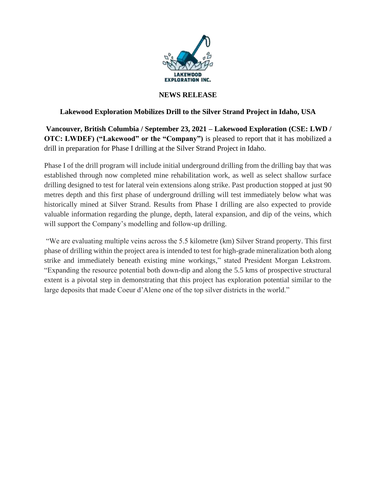

#### **NEWS RELEASE**

## **Lakewood Exploration Mobilizes Drill to the Silver Strand Project in Idaho, USA**

**Vancouver, British Columbia / September 23, 2021 – Lakewood Exploration (CSE: LWD / OTC: LWDEF) ("Lakewood" or the "Company")** is pleased to report that it has mobilized a drill in preparation for Phase I drilling at the Silver Strand Project in Idaho.

Phase I of the drill program will include initial underground drilling from the drilling bay that was established through now completed mine rehabilitation work, as well as select shallow surface drilling designed to test for lateral vein extensions along strike. Past production stopped at just 90 metres depth and this first phase of underground drilling will test immediately below what was historically mined at Silver Strand. Results from Phase I drilling are also expected to provide valuable information regarding the plunge, depth, lateral expansion, and dip of the veins, which will support the Company's modelling and follow-up drilling.

"We are evaluating multiple veins across the 5.5 kilometre (km) Silver Strand property. This first phase of drilling within the project area is intended to test for high-grade mineralization both along strike and immediately beneath existing mine workings," stated President Morgan Lekstrom. "Expanding the resource potential both down-dip and along the 5.5 kms of prospective structural extent is a pivotal step in demonstrating that this project has exploration potential similar to the large deposits that made Coeur d'Alene one of the top silver districts in the world."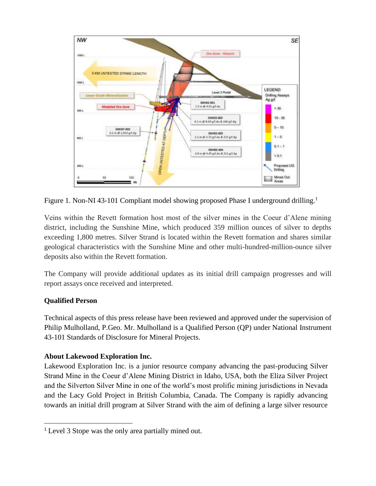

Figure 1. Non-NI 43-101 Compliant model showing proposed Phase I underground drilling.<sup>1</sup>

Veins within the Revett formation host most of the silver mines in the Coeur d'Alene mining district, including the Sunshine Mine, which produced 359 million ounces of silver to depths exceeding 1,800 metres. Silver Strand is located within the Revett formation and shares similar geological characteristics with the Sunshine Mine and other multi-hundred-million-ounce silver deposits also within the Revett formation.

The Company will provide additional updates as its initial drill campaign progresses and will report assays once received and interpreted.

# **Qualified Person**

Technical aspects of this press release have been reviewed and approved under the supervision of Philip Mulholland, P.Geo. Mr. Mulholland is a Qualified Person (QP) under National Instrument 43-101 Standards of Disclosure for Mineral Projects.

# **About Lakewood Exploration Inc.**

Lakewood Exploration Inc. is a junior resource company advancing the past-producing Silver Strand Mine in the Coeur d'Alene Mining District in Idaho, USA, both the Eliza Silver Project and the Silverton Silver Mine in one of the world's most prolific mining jurisdictions in Nevada and the Lacy Gold Project in British Columbia, Canada. The Company is rapidly advancing towards an initial drill program at Silver Strand with the aim of defining a large silver resource

<sup>1</sup> Level 3 Stope was the only area partially mined out.